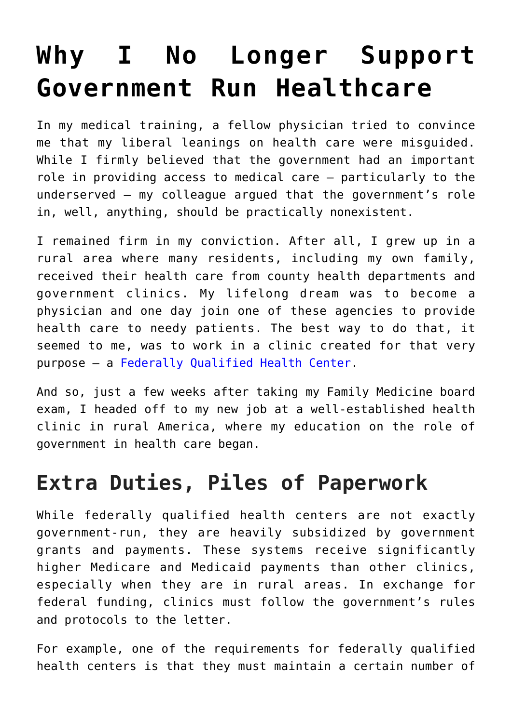## **[Why I No Longer Support](https://intellectualtakeout.org/2019/08/why-i-no-longer-support-government-run-healthcare/) [Government Run Healthcare](https://intellectualtakeout.org/2019/08/why-i-no-longer-support-government-run-healthcare/)**

In my medical training, a fellow physician tried to convince me that my liberal leanings on health care were misguided. While I firmly believed that the government had an important role in providing access to medical care – particularly to the underserved – my colleague argued that the government's role in, well, anything, should be practically nonexistent.

I remained firm in my conviction. After all, I grew up in a rural area where many residents, including my own family, received their health care from county health departments and government clinics. My lifelong dream was to become a physician and one day join one of these agencies to provide health care to needy patients. The best way to do that, it seemed to me, was to work in a clinic created for that very purpose – a [Federally Qualified Health Center](https://www.fqhc.org/what-is-an-fqhc).

And so, just a few weeks after taking my Family Medicine board exam, I headed off to my new job at a well-established health clinic in rural America, where my education on the role of government in health care began.

## **Extra Duties, Piles of Paperwork**

While federally qualified health centers are not exactly government-run, they are heavily subsidized by government grants and payments. These systems receive significantly higher Medicare and Medicaid payments than other clinics, especially when they are in rural areas. In exchange for federal funding, clinics must follow the government's rules and protocols to the letter.

For example, one of the requirements for federally qualified health centers is that they must maintain a certain number of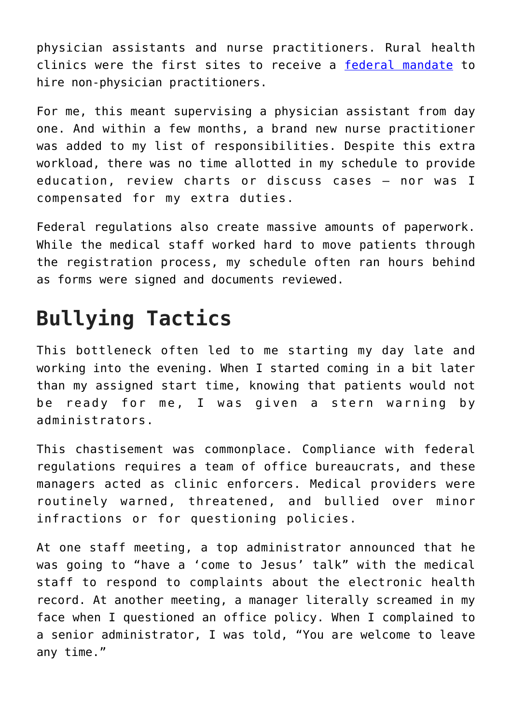physician assistants and nurse practitioners. Rural health clinics were the first sites to receive a [federal mandate](https://www.hrsa.gov/sites/default/files/ruralhealth/pdf/rhcmanual1.pdf) to hire non-physician practitioners.

For me, this meant supervising a physician assistant from day one. And within a few months, a brand new nurse practitioner was added to my list of responsibilities. Despite this extra workload, there was no time allotted in my schedule to provide education, review charts or discuss cases – nor was I compensated for my extra duties.

Federal regulations also create massive amounts of paperwork. While the medical staff worked hard to move patients through the registration process, my schedule often ran hours behind as forms were signed and documents reviewed.

## **Bullying Tactics**

This bottleneck often led to me starting my day late and working into the evening. When I started coming in a bit later than my assigned start time, knowing that patients would not be ready for me, I was given a stern warning by administrators.

This chastisement was commonplace. Compliance with federal regulations requires a team of office bureaucrats, and these managers acted as clinic enforcers. Medical providers were routinely warned, threatened, and bullied over minor infractions or for questioning policies.

At one staff meeting, a top administrator announced that he was going to "have a 'come to Jesus' talk" with the medical staff to respond to complaints about the electronic health record. At another meeting, a manager literally screamed in my face when I questioned an office policy. When I complained to a senior administrator, I was told, "You are welcome to leave any time."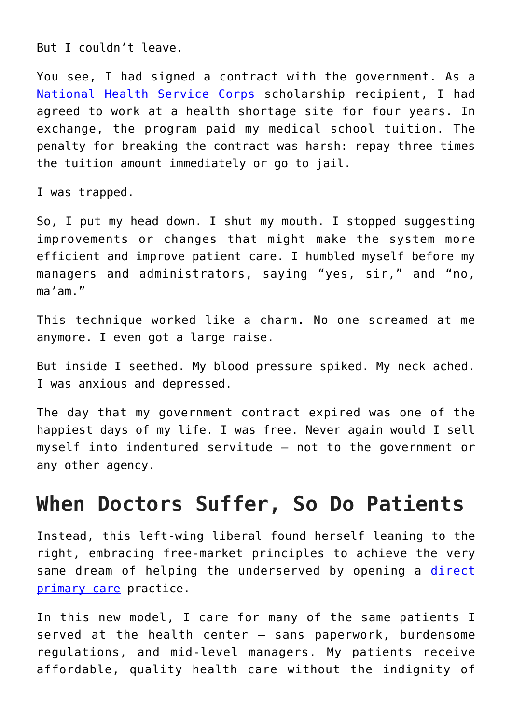But I couldn't leave.

You see, I had signed a contract with the government. As a [National Health Service Corps](https://nhsc.hrsa.gov/) scholarship recipient, I had agreed to work at a health shortage site for four years. In exchange, the program paid my medical school tuition. The penalty for breaking the contract was harsh: repay three times the tuition amount immediately or go to jail.

I was trapped.

So, I put my head down. I shut my mouth. I stopped suggesting improvements or changes that might make the system more efficient and improve patient care. I humbled myself before my managers and administrators, saying "yes, sir," and "no, ma'am."

This technique worked like a charm. No one screamed at me anymore. I even got a large raise.

But inside I seethed. My blood pressure spiked. My neck ached. I was anxious and depressed.

The day that my government contract expired was one of the happiest days of my life. I was free. Never again would I sell myself into indentured servitude – not to the government or any other agency.

## **When Doctors Suffer, So Do Patients**

Instead, this left-wing liberal found herself leaning to the right, embracing free-market principles to achieve the very same dream of helping the underserved by opening a [direct](https://www.kevinmd.com/blog/2019/02/direct-primary-care-physicians-are-not-concierge-doctors.html) [primary care](https://www.kevinmd.com/blog/2019/02/direct-primary-care-physicians-are-not-concierge-doctors.html) practice.

In this new model, I care for many of the same patients I served at the health center – sans paperwork, burdensome regulations, and mid-level managers. My patients receive affordable, quality health care without the indignity of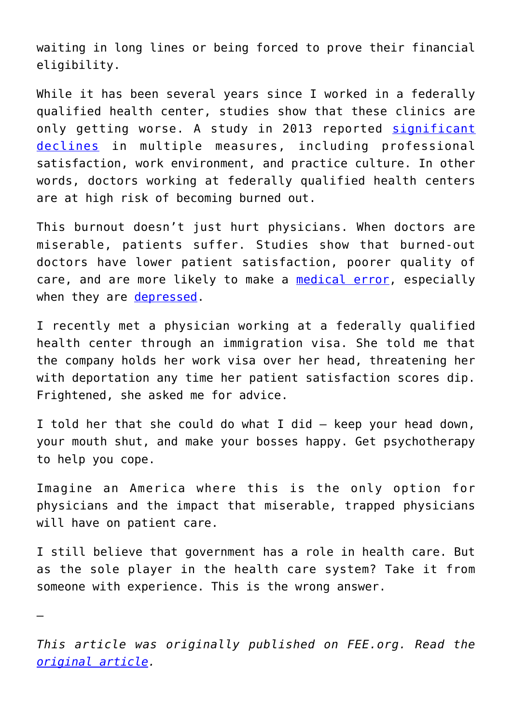waiting in long lines or being forced to prove their financial eligibility.

While it has been several years since I worked in a federally qualified health center, studies show that these clinics are only getting worse. A study in 2013 reported [significant](https://www.healthaffairs.org/doi/pdf/10.1377/hlthaff.2017.0205) [declines](https://www.healthaffairs.org/doi/pdf/10.1377/hlthaff.2017.0205) in multiple measures, including professional satisfaction, work environment, and practice culture. In other words, doctors working at federally qualified health centers are at high risk of becoming burned out.

This burnout doesn't just hurt physicians. When doctors are miserable, patients suffer. Studies show that burned-out doctors have lower patient satisfaction, poorer quality of care, and are more likely to make a [medical error,](https://www.ncbi.nlm.nih.gov/pubmed/30193239) especially when they are [depressed](https://www.ncbi.nlm.nih.gov/pmc/articles/PMC2258399/).

I recently met a physician working at a federally qualified health center through an immigration visa. She told me that the company holds her work visa over her head, threatening her with deportation any time her patient satisfaction scores dip. Frightened, she asked me for advice.

I told her that she could do what I did – keep your head down, your mouth shut, and make your bosses happy. Get psychotherapy to help you cope.

Imagine an America where this is the only option for physicians and the impact that miserable, trapped physicians will have on patient care.

I still believe that government has a role in health care. But as the sole player in the health care system? Take it from someone with experience. This is the wrong answer.

—

*This article was originally published on FEE.org. Read the [original article.](https://fee.org/articles/i-was-a-physician-at-a-federally-qualified-health-center-heres-why-i-no-longer-believe-government-health-care-can-work/)*